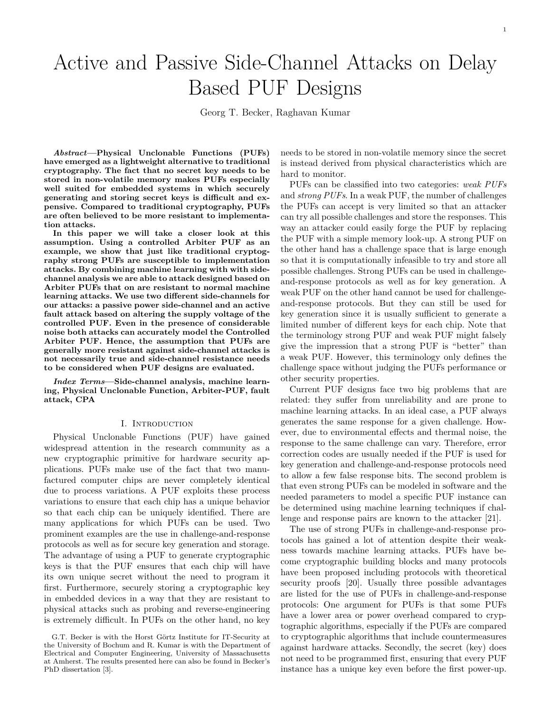# Active and Passive Side-Channel Attacks on Delay Based PUF Designs

Georg T. Becker, Raghavan Kumar

*Abstract***—Physical Unclonable Functions (PUFs) have emerged as a lightweight alternative to traditional cryptography. The fact that no secret key needs to be stored in non-volatile memory makes PUFs especially well suited for embedded systems in which securely generating and storing secret keys is difficult and expensive. Compared to traditional cryptography, PUFs are often believed to be more resistant to implementation attacks.**

**In this paper we will take a closer look at this assumption. Using a controlled Arbiter PUF as an example, we show that just like traditional cryptography strong PUFs are susceptible to implementation attacks. By combining machine learning with with sidechannel analysis we are able to attack designed based on Arbiter PUFs that on are resistant to normal machine learning attacks. We use two different side-channels for our attacks: a passive power side-channel and an active fault attack based on altering the supply voltage of the controlled PUF. Even in the presence of considerable noise both attacks can accurately model the Controlled Arbiter PUF. Hence, the assumption that PUFs are generally more resistant against side-channel attacks is not necessarily true and side-channel resistance needs to be considered when PUF designs are evaluated.**

*Index Terms***—Side-channel analysis, machine learning, Physical Unclonable Function, Arbiter-PUF, fault attack, CPA**

#### I. Introduction

Physical Unclonable Functions (PUF) have gained widespread attention in the research community as a new cryptographic primitive for hardware security applications. PUFs make use of the fact that two manufactured computer chips are never completely identical due to process variations. A PUF exploits these process variations to ensure that each chip has a unique behavior so that each chip can be uniquely identified. There are many applications for which PUFs can be used. Two prominent examples are the use in challenge-and-response protocols as well as for secure key generation and storage. The advantage of using a PUF to generate cryptographic keys is that the PUF ensures that each chip will have its own unique secret without the need to program it first. Furthermore, securely storing a cryptographic key in embedded devices in a way that they are resistant to physical attacks such as probing and reverse-engineering is extremely difficult. In PUFs on the other hand, no key

needs to be stored in non-volatile memory since the secret is instead derived from physical characteristics which are hard to monitor.

PUFs can be classified into two categories: *weak PUFs* and *strong PUFs*. In a weak PUF, the number of challenges the PUFs can accept is very limited so that an attacker can try all possible challenges and store the responses. This way an attacker could easily forge the PUF by replacing the PUF with a simple memory look-up. A strong PUF on the other hand has a challenge space that is large enough so that it is computationally infeasible to try and store all possible challenges. Strong PUFs can be used in challengeand-response protocols as well as for key generation. A weak PUF on the other hand cannot be used for challengeand-response protocols. But they can still be used for key generation since it is usually sufficient to generate a limited number of different keys for each chip. Note that the terminology strong PUF and weak PUF might falsely give the impression that a strong PUF is "better" than a weak PUF. However, this terminology only defines the challenge space without judging the PUFs performance or other security properties.

Current PUF designs face two big problems that are related: they suffer from unreliability and are prone to machine learning attacks. In an ideal case, a PUF always generates the same response for a given challenge. However, due to environmental effects and thermal noise, the response to the same challenge can vary. Therefore, error correction codes are usually needed if the PUF is used for key generation and challenge-and-response protocols need to allow a few false response bits. The second problem is that even strong PUFs can be modeled in software and the needed parameters to model a specific PUF instance can be determined using machine learning techniques if challenge and response pairs are known to the attacker [21].

The use of strong PUFs in challenge-and-response protocols has gained a lot of attention despite their weakness towards machine learning attacks. PUFs have become cryptographic building blocks and many protocols have been proposed including protocols with theoretical security proofs [20]. Usually three possible advantages are listed for the use of PUFs in challenge-and-response protocols: One argument for PUFs is that some PUFs have a lower area or power overhead compared to cryptographic algorithms, especially if the PUFs are compared to cryptographic algorithms that include countermeasures against hardware attacks. Secondly, the secret (key) does not need to be programmed first, ensuring that every PUF instance has a unique key even before the first power-up.

G.T. Becker is with the Horst Görtz Institute for IT-Security at the University of Bochum and R. Kumar is with the Department of Electrical and Computer Engineering, University of Massachusetts at Amherst. The results presented here can also be found in Becker's PhD dissertation [3].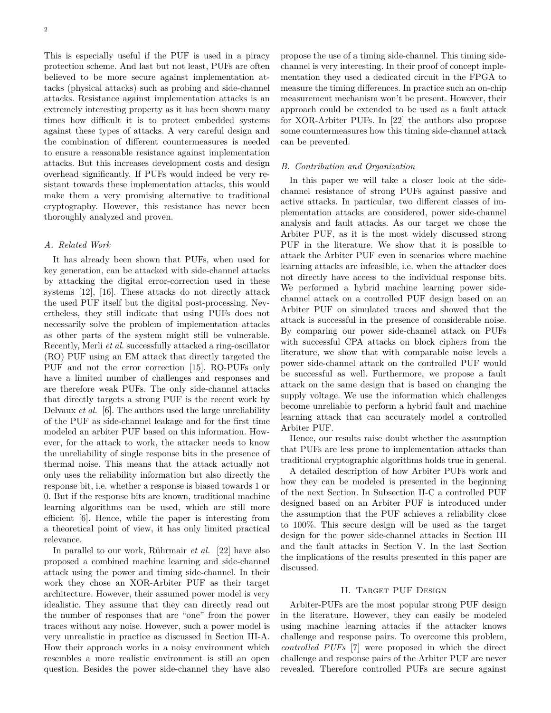This is especially useful if the PUF is used in a piracy protection scheme. And last but not least, PUFs are often believed to be more secure against implementation attacks (physical attacks) such as probing and side-channel attacks. Resistance against implementation attacks is an extremely interesting property as it has been shown many times how difficult it is to protect embedded systems against these types of attacks. A very careful design and the combination of different countermeasures is needed to ensure a reasonable resistance against implementation attacks. But this increases development costs and design overhead significantly. If PUFs would indeed be very resistant towards these implementation attacks, this would make them a very promising alternative to traditional cryptography. However, this resistance has never been thoroughly analyzed and proven.

#### *A. Related Work*

It has already been shown that PUFs, when used for key generation, can be attacked with side-channel attacks by attacking the digital error-correction used in these systems [12], [16]. These attacks do not directly attack the used PUF itself but the digital post-processing. Nevertheless, they still indicate that using PUFs does not necessarily solve the problem of implementation attacks as other parts of the system might still be vulnerable. Recently, Merli *et al.* successfully attacked a ring-oscillator (RO) PUF using an EM attack that directly targeted the PUF and not the error correction [15]. RO-PUFs only have a limited number of challenges and responses and are therefore weak PUFs. The only side-channel attacks that directly targets a strong PUF is the recent work by Delvaux *et al.* [6]. The authors used the large unreliability of the PUF as side-channel leakage and for the first time modeled an arbiter PUF based on this information. However, for the attack to work, the attacker needs to know the unreliability of single response bits in the presence of thermal noise. This means that the attack actually not only uses the reliability information but also directly the response bit, i.e. whether a response is biased towards 1 or 0. But if the response bits are known, traditional machine learning algorithms can be used, which are still more efficient [6]. Hence, while the paper is interesting from a theoretical point of view, it has only limited practical relevance.

In parallel to our work, Rührmair *et al.* [22] have also proposed a combined machine learning and side-channel attack using the power and timing side-channel. In their work they chose an XOR-Arbiter PUF as their target architecture. However, their assumed power model is very idealistic. They assume that they can directly read out the number of responses that are "one" from the power traces without any noise. However, such a power model is very unrealistic in practice as discussed in Section III-A. How their approach works in a noisy environment which resembles a more realistic environment is still an open question. Besides the power side-channel they have also propose the use of a timing side-channel. This timing sidechannel is very interesting. In their proof of concept implementation they used a dedicated circuit in the FPGA to measure the timing differences. In practice such an on-chip measurement mechanism won't be present. However, their approach could be extended to be used as a fault attack for XOR-Arbiter PUFs. In [22] the authors also propose some countermeasures how this timing side-channel attack can be prevented.

## *B. Contribution and Organization*

In this paper we will take a closer look at the sidechannel resistance of strong PUFs against passive and active attacks. In particular, two different classes of implementation attacks are considered, power side-channel analysis and fault attacks. As our target we chose the Arbiter PUF, as it is the most widely discussed strong PUF in the literature. We show that it is possible to attack the Arbiter PUF even in scenarios where machine learning attacks are infeasible, i.e. when the attacker does not directly have access to the individual response bits. We performed a hybrid machine learning power sidechannel attack on a controlled PUF design based on an Arbiter PUF on simulated traces and showed that the attack is successful in the presence of considerable noise. By comparing our power side-channel attack on PUFs with successful CPA attacks on block ciphers from the literature, we show that with comparable noise levels a power side-channel attack on the controlled PUF would be successful as well. Furthermore, we propose a fault attack on the same design that is based on changing the supply voltage. We use the information which challenges become unreliable to perform a hybrid fault and machine learning attack that can accurately model a controlled Arbiter PUF.

Hence, our results raise doubt whether the assumption that PUFs are less prone to implementation attacks than traditional cryptographic algorithms holds true in general.

A detailed description of how Arbiter PUFs work and how they can be modeled is presented in the beginning of the next Section. In Subsection II-C a controlled PUF designed based on an Arbiter PUF is introduced under the assumption that the PUF achieves a reliability close to 100%. This secure design will be used as the target design for the power side-channel attacks in Section III and the fault attacks in Section V. In the last Section the implications of the results presented in this paper are discussed.

## II. TARGET PUF DESIGN

Arbiter-PUFs are the most popular strong PUF design in the literature. However, they can easily be modeled using machine learning attacks if the attacker knows challenge and response pairs. To overcome this problem, *controlled PUFs* [7] were proposed in which the direct challenge and response pairs of the Arbiter PUF are never revealed. Therefore controlled PUFs are secure against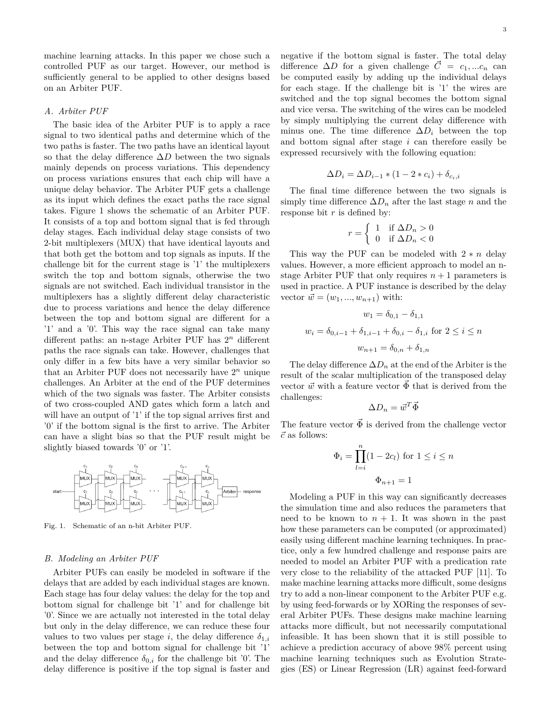machine learning attacks. In this paper we chose such a controlled PUF as our target. However, our method is sufficiently general to be applied to other designs based on an Arbiter PUF.

#### *A. Arbiter PUF*

The basic idea of the Arbiter PUF is to apply a race signal to two identical paths and determine which of the two paths is faster. The two paths have an identical layout so that the delay difference ∆*D* between the two signals mainly depends on process variations. This dependency on process variations ensures that each chip will have a unique delay behavior. The Arbiter PUF gets a challenge as its input which defines the exact paths the race signal takes. Figure 1 shows the schematic of an Arbiter PUF. It consists of a top and bottom signal that is fed through delay stages. Each individual delay stage consists of two 2-bit multiplexers (MUX) that have identical layouts and that both get the bottom and top signals as inputs. If the challenge bit for the current stage is '1' the multiplexers switch the top and bottom signals, otherwise the two signals are not switched. Each individual transistor in the multiplexers has a slightly different delay characteristic due to process variations and hence the delay difference between the top and bottom signal are different for a '1' and a '0'. This way the race signal can take many different paths: an n-stage Arbiter PUF has 2 *<sup>n</sup>* different paths the race signals can take. However, challenges that only differ in a few bits have a very similar behavior so that an Arbiter PUF does not necessarily have  $2^n$  unique challenges. An Arbiter at the end of the PUF determines which of the two signals was faster. The Arbiter consists of two cross-coupled AND gates which form a latch and will have an output of '1' if the top signal arrives first and '0' if the bottom signal is the first to arrive. The Arbiter can have a slight bias so that the PUF result might be slightly biased towards '0' or '1'.



Fig. 1. Schematic of an n-bit Arbiter PUF.

#### *B. Modeling an Arbiter PUF*

Arbiter PUFs can easily be modeled in software if the delays that are added by each individual stages are known. Each stage has four delay values: the delay for the top and bottom signal for challenge bit '1' and for challenge bit '0'. Since we are actually not interested in the total delay but only in the delay difference, we can reduce these four values to two values per stage *i*, the delay difference  $\delta_{1,i}$ between the top and bottom signal for challenge bit '1' and the delay difference  $\delta_{0,i}$  for the challenge bit '0'. The delay difference is positive if the top signal is faster and negative if the bottom signal is faster. The total delay difference  $\Delta D$  for a given challenge  $\overline{C} = c_1, ... c_n$  can be computed easily by adding up the individual delays for each stage. If the challenge bit is '1' the wires are switched and the top signal becomes the bottom signal and vice versa. The switching of the wires can be modeled by simply multiplying the current delay difference with minus one. The time difference  $\Delta D_i$  between the top and bottom signal after stage *i* can therefore easily be expressed recursively with the following equation:

$$
\Delta D_i = \Delta D_{i-1} * (1 - 2 * c_i) + \delta_{c_i, i}
$$

The final time difference between the two signals is simply time difference  $\Delta D_n$  after the last stage *n* and the response bit *r* is defined by:

$$
r = \begin{cases} 1 & \text{if } \Delta D_n > 0 \\ 0 & \text{if } \Delta D_n < 0 \end{cases}
$$

This way the PUF can be modeled with  $2 * n$  delay values. However, a more efficient approach to model an nstage Arbiter PUF that only requires  $n + 1$  parameters is used in practice. A PUF instance is described by the delay vector  $\vec{w} = (w_1, ..., w_{n+1})$  with:

$$
w_1 = \delta_{0,1} - \delta_{1,1}
$$
  

$$
w_i = \delta_{0,i-1} + \delta_{1,i-1} + \delta_{0,i} - \delta_{1,i} \text{ for } 2 \le i \le n
$$
  

$$
w_{n+1} = \delta_{0,n} + \delta_{1,n}
$$

The delay difference  $\Delta D_n$  at the end of the Arbiter is the result of the scalar multiplication of the transposed delay vector  $\vec{w}$  with a feature vector  $\vec{\Phi}$  that is derived from the challenges:

$$
\Delta D_n = \vec{w}^T \vec{\Phi}
$$

The feature vector  $\vec{\Phi}$  is derived from the challenge vector  $\vec{c}$  as follows:

$$
\Phi_i = \prod_{l=i}^n (1 - 2c_l) \text{ for } 1 \le i \le n
$$

$$
\Phi_{n+1} = 1
$$

Modeling a PUF in this way can significantly decreases the simulation time and also reduces the parameters that need to be known to  $n + 1$ . It was shown in the past how these parameters can be computed (or approximated) easily using different machine learning techniques. In practice, only a few hundred challenge and response pairs are needed to model an Arbiter PUF with a predication rate very close to the reliability of the attacked PUF [11]. To make machine learning attacks more difficult, some designs try to add a non-linear component to the Arbiter PUF e.g. by using feed-forwards or by XORing the responses of several Arbiter PUFs. These designs make machine learning attacks more difficult, but not necessarily computational infeasible. It has been shown that it is still possible to achieve a prediction accuracy of above 98% percent using machine learning techniques such as Evolution Strategies (ES) or Linear Regression (LR) against feed-forward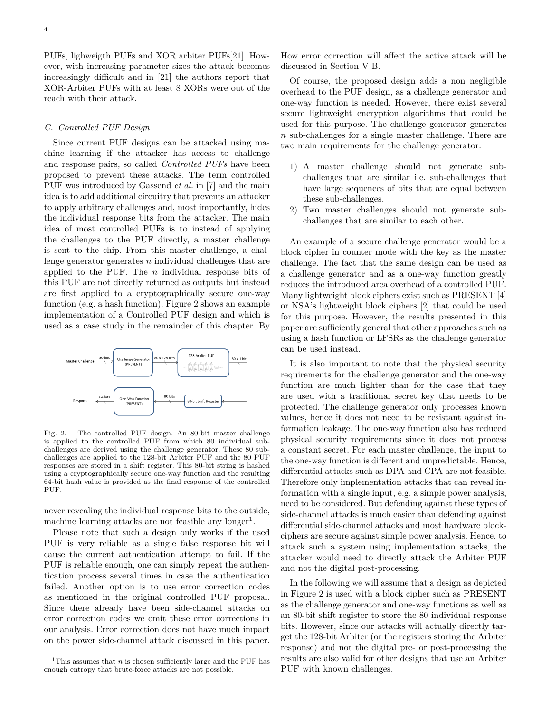PUFs, lighweigth PUFs and XOR arbiter PUFs[21]. However, with increasing parameter sizes the attack becomes increasingly difficult and in [21] the authors report that XOR-Arbiter PUFs with at least 8 XORs were out of the reach with their attack.

#### *C. Controlled PUF Design*

Since current PUF designs can be attacked using machine learning if the attacker has access to challenge and response pairs, so called *Controlled PUFs* have been proposed to prevent these attacks. The term controlled PUF was introduced by Gassend *et al.* in [7] and the main idea is to add additional circuitry that prevents an attacker to apply arbitrary challenges and, most importantly, hides the individual response bits from the attacker. The main idea of most controlled PUFs is to instead of applying the challenges to the PUF directly, a master challenge is sent to the chip. From this master challenge, a challenge generator generates *n* individual challenges that are applied to the PUF. The *n* individual response bits of this PUF are not directly returned as outputs but instead are first applied to a cryptographically secure one-way function (e.g. a hash function). Figure 2 shows an example implementation of a Controlled PUF design and which is used as a case study in the remainder of this chapter. By



Fig. 2. The controlled PUF design. An 80-bit master challenge is applied to the controlled PUF from which 80 individual subchallenges are derived using the challenge generator. These 80 subchallenges are applied to the 128-bit Arbiter PUF and the 80 PUF responses are stored in a shift register. This 80-bit string is hashed using a cryptographically secure one-way function and the resulting 64-bit hash value is provided as the final response of the controlled PUF.

never revealing the individual response bits to the outside, machine learning attacks are not feasible any longer<sup>1</sup>.

Please note that such a design only works if the used PUF is very reliable as a single false response bit will cause the current authentication attempt to fail. If the PUF is reliable enough, one can simply repeat the authentication process several times in case the authentication failed. Another option is to use error correction codes as mentioned in the original controlled PUF proposal. Since there already have been side-channel attacks on error correction codes we omit these error corrections in our analysis. Error correction does not have much impact on the power side-channel attack discussed in this paper.

How error correction will affect the active attack will be discussed in Section V-B.

Of course, the proposed design adds a non negligible overhead to the PUF design, as a challenge generator and one-way function is needed. However, there exist several secure lightweight encryption algorithms that could be used for this purpose. The challenge generator generates *n* sub-challenges for a single master challenge. There are two main requirements for the challenge generator:

- 1) A master challenge should not generate subchallenges that are similar i.e. sub-challenges that have large sequences of bits that are equal between these sub-challenges.
- 2) Two master challenges should not generate subchallenges that are similar to each other.

An example of a secure challenge generator would be a block cipher in counter mode with the key as the master challenge. The fact that the same design can be used as a challenge generator and as a one-way function greatly reduces the introduced area overhead of a controlled PUF. Many lightweight block ciphers exist such as PRESENT [4] or NSA's lightweight block ciphers [2] that could be used for this purpose. However, the results presented in this paper are sufficiently general that other approaches such as using a hash function or LFSRs as the challenge generator can be used instead.

It is also important to note that the physical security requirements for the challenge generator and the one-way function are much lighter than for the case that they are used with a traditional secret key that needs to be protected. The challenge generator only processes known values, hence it does not need to be resistant against information leakage. The one-way function also has reduced physical security requirements since it does not process a constant secret. For each master challenge, the input to the one-way function is different and unpredictable. Hence, differential attacks such as DPA and CPA are not feasible. Therefore only implementation attacks that can reveal information with a single input, e.g. a simple power analysis, need to be considered. But defending against these types of side-channel attacks is much easier than defending against differential side-channel attacks and most hardware blockciphers are secure against simple power analysis. Hence, to attack such a system using implementation attacks, the attacker would need to directly attack the Arbiter PUF and not the digital post-processing.

In the following we will assume that a design as depicted in Figure 2 is used with a block cipher such as PRESENT as the challenge generator and one-way functions as well as an 80-bit shift register to store the 80 individual response bits. However, since our attacks will actually directly target the 128-bit Arbiter (or the registers storing the Arbiter response) and not the digital pre- or post-processing the results are also valid for other designs that use an Arbiter PUF with known challenges.

<sup>&</sup>lt;sup>1</sup>This assumes that *n* is chosen sufficiently large and the PUF has enough entropy that brute-force attacks are not possible.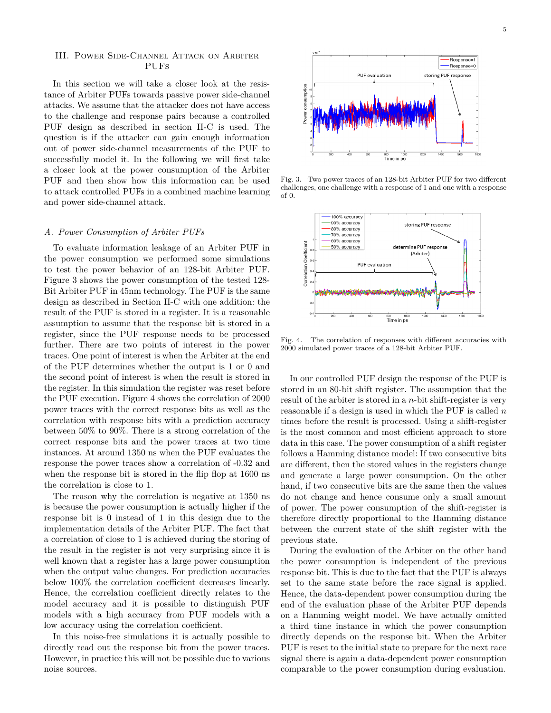## III. Power Side-Channel Attack on Arbiter PUFs

In this section we will take a closer look at the resistance of Arbiter PUFs towards passive power side-channel attacks. We assume that the attacker does not have access to the challenge and response pairs because a controlled PUF design as described in section II-C is used. The question is if the attacker can gain enough information out of power side-channel measurements of the PUF to successfully model it. In the following we will first take a closer look at the power consumption of the Arbiter PUF and then show how this information can be used to attack controlled PUFs in a combined machine learning and power side-channel attack.

#### *A. Power Consumption of Arbiter PUFs*

To evaluate information leakage of an Arbiter PUF in the power consumption we performed some simulations to test the power behavior of an 128-bit Arbiter PUF. Figure 3 shows the power consumption of the tested 128- Bit Arbiter PUF in 45nm technology. The PUF is the same design as described in Section II-C with one addition: the result of the PUF is stored in a register. It is a reasonable assumption to assume that the response bit is stored in a register, since the PUF response needs to be processed further. There are two points of interest in the power traces. One point of interest is when the Arbiter at the end of the PUF determines whether the output is 1 or 0 and the second point of interest is when the result is stored in the register. In this simulation the register was reset before the PUF execution. Figure 4 shows the correlation of 2000 power traces with the correct response bits as well as the correlation with response bits with a prediction accuracy between 50% to 90%. There is a strong correlation of the correct response bits and the power traces at two time instances. At around 1350 ns when the PUF evaluates the response the power traces show a correlation of -0.32 and when the response bit is stored in the flip flop at 1600 ns the correlation is close to 1.

The reason why the correlation is negative at 1350 ns is because the power consumption is actually higher if the response bit is 0 instead of 1 in this design due to the implementation details of the Arbiter PUF. The fact that a correlation of close to 1 is achieved during the storing of the result in the register is not very surprising since it is well known that a register has a large power consumption when the output value changes. For prediction accuracies below 100% the correlation coefficient decreases linearly. Hence, the correlation coefficient directly relates to the model accuracy and it is possible to distinguish PUF models with a high accuracy from PUF models with a low accuracy using the correlation coefficient.

In this noise-free simulations it is actually possible to directly read out the response bit from the power traces. However, in practice this will not be possible due to various noise sources.



Fig. 3. Two power traces of an 128-bit Arbiter PUF for two different challenges, one challenge with a response of 1 and one with a response of 0.



Fig. 4. The correlation of responses with different accuracies with 2000 simulated power traces of a 128-bit Arbiter PUF.

In our controlled PUF design the response of the PUF is stored in an 80-bit shift register. The assumption that the result of the arbiter is stored in a *n*-bit shift-register is very reasonable if a design is used in which the PUF is called *n* times before the result is processed. Using a shift-register is the most common and most efficient approach to store data in this case. The power consumption of a shift register follows a Hamming distance model: If two consecutive bits are different, then the stored values in the registers change and generate a large power consumption. On the other hand, if two consecutive bits are the same then the values do not change and hence consume only a small amount of power. The power consumption of the shift-register is therefore directly proportional to the Hamming distance between the current state of the shift register with the previous state.

During the evaluation of the Arbiter on the other hand the power consumption is independent of the previous response bit. This is due to the fact that the PUF is always set to the same state before the race signal is applied. Hence, the data-dependent power consumption during the end of the evaluation phase of the Arbiter PUF depends on a Hamming weight model. We have actually omitted a third time instance in which the power consumption directly depends on the response bit. When the Arbiter PUF is reset to the initial state to prepare for the next race signal there is again a data-dependent power consumption comparable to the power consumption during evaluation.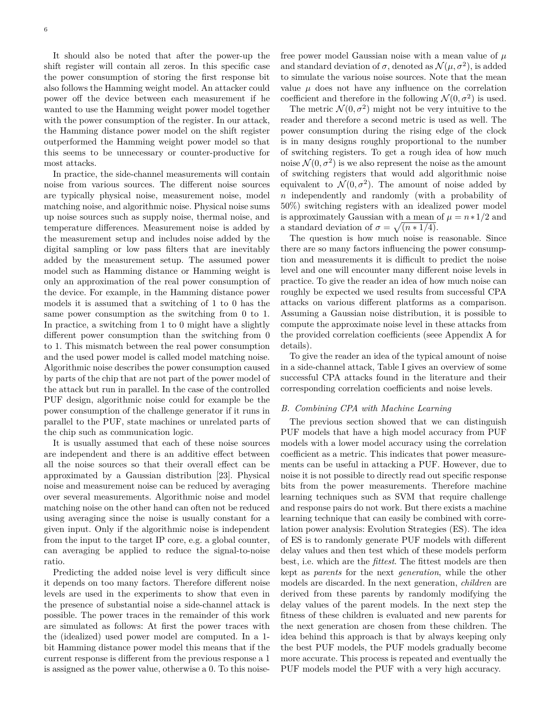It should also be noted that after the power-up the shift register will contain all zeros. In this specific case the power consumption of storing the first response bit also follows the Hamming weight model. An attacker could power off the device between each measurement if he wanted to use the Hamming weight power model together with the power consumption of the register. In our attack, the Hamming distance power model on the shift register outperformed the Hamming weight power model so that this seems to be unnecessary or counter-productive for most attacks.

In practice, the side-channel measurements will contain noise from various sources. The different noise sources are typically physical noise, measurement noise, model matching noise, and algorithmic noise. Physical noise sums up noise sources such as supply noise, thermal noise, and temperature differences. Measurement noise is added by the measurement setup and includes noise added by the digital sampling or low pass filters that are inevitably added by the measurement setup. The assumed power model such as Hamming distance or Hamming weight is only an approximation of the real power consumption of the device. For example, in the Hamming distance power models it is assumed that a switching of 1 to 0 has the same power consumption as the switching from 0 to 1. In practice, a switching from 1 to 0 might have a slightly different power consumption than the switching from 0 to 1. This mismatch between the real power consumption and the used power model is called model matching noise. Algorithmic noise describes the power consumption caused by parts of the chip that are not part of the power model of the attack but run in parallel. In the case of the controlled PUF design, algorithmic noise could for example be the power consumption of the challenge generator if it runs in parallel to the PUF, state machines or unrelated parts of the chip such as communication logic.

It is usually assumed that each of these noise sources are independent and there is an additive effect between all the noise sources so that their overall effect can be approximated by a Gaussian distribution [23]. Physical noise and measurement noise can be reduced by averaging over several measurements. Algorithmic noise and model matching noise on the other hand can often not be reduced using averaging since the noise is usually constant for a given input. Only if the algorithmic noise is independent from the input to the target IP core, e.g. a global counter, can averaging be applied to reduce the signal-to-noise ratio.

Predicting the added noise level is very difficult since it depends on too many factors. Therefore different noise levels are used in the experiments to show that even in the presence of substantial noise a side-channel attack is possible. The power traces in the remainder of this work are simulated as follows: At first the power traces with the (idealized) used power model are computed. In a 1 bit Hamming distance power model this means that if the current response is different from the previous response a 1 is assigned as the power value, otherwise a 0. To this noisefree power model Gaussian noise with a mean value of *µ* and standard deviation of  $\sigma$ , denoted as  $\mathcal{N}(\mu, \sigma^2)$ , is added to simulate the various noise sources. Note that the mean value  $\mu$  does not have any influence on the correlation coefficient and therefore in the following  $\mathcal{N}(0, \sigma^2)$  is used.

The metric  $\mathcal{N}(0, \sigma^2)$  might not be very intuitive to the reader and therefore a second metric is used as well. The power consumption during the rising edge of the clock is in many designs roughly proportional to the number of switching registers. To get a rough idea of how much noise  $\mathcal{N}(0, \sigma^2)$  is we also represent the noise as the amount of switching registers that would add algorithmic noise equivalent to  $\mathcal{N}(0, \sigma^2)$ . The amount of noise added by *n* independently and randomly (with a probability of 50%) switching registers with an idealized power model is approximately Gaussian with a mean of  $\mu = n \times 1/2$  and a standard deviation of  $\sigma = \sqrt{(n * 1/4)}$ .

The question is how much noise is reasonable. Since there are so many factors influencing the power consumption and measurements it is difficult to predict the noise level and one will encounter many different noise levels in practice. To give the reader an idea of how much noise can roughly be expected we used results from successful CPA attacks on various different platforms as a comparison. Assuming a Gaussian noise distribution, it is possible to compute the approximate noise level in these attacks from the provided correlation coefficients (seee Appendix A for details).

To give the reader an idea of the typical amount of noise in a side-channel attack, Table I gives an overview of some successful CPA attacks found in the literature and their corresponding correlation coefficients and noise levels.

#### *B. Combining CPA with Machine Learning*

The previous section showed that we can distinguish PUF models that have a high model accuracy from PUF models with a lower model accuracy using the correlation coefficient as a metric. This indicates that power measurements can be useful in attacking a PUF. However, due to noise it is not possible to directly read out specific response bits from the power measurements. Therefore machine learning techniques such as SVM that require challenge and response pairs do not work. But there exists a machine learning technique that can easily be combined with correlation power analysis: Evolution Strategies (ES). The idea of ES is to randomly generate PUF models with different delay values and then test which of these models perform best, i.e. which are the *fittest*. The fittest models are then kept as *parents* for the next *generation*, while the other models are discarded. In the next generation, *children* are derived from these parents by randomly modifying the delay values of the parent models. In the next step the fitness of these children is evaluated and new parents for the next generation are chosen from these children. The idea behind this approach is that by always keeping only the best PUF models, the PUF models gradually become more accurate. This process is repeated and eventually the PUF models model the PUF with a very high accuracy.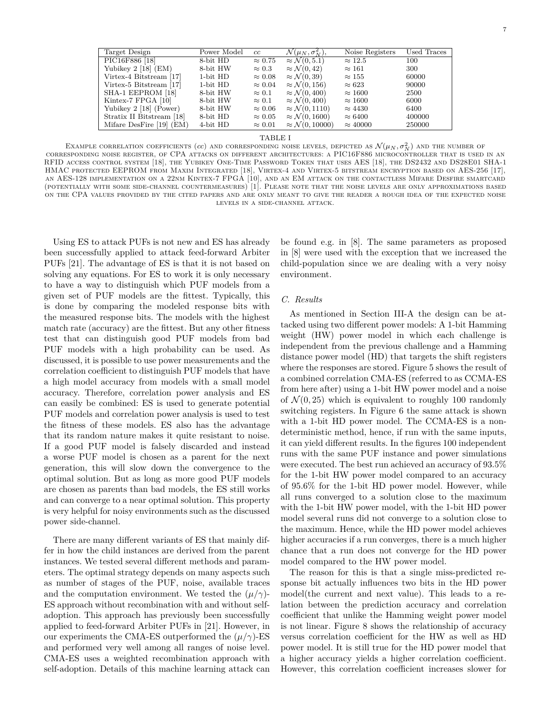| Target Design                          | Power Model   | cc             | $\overline{\mathcal{N}(\mu_N, \sigma_N^2)},$ | Noise Registers | Used Traces |
|----------------------------------------|---------------|----------------|----------------------------------------------|-----------------|-------------|
| PIC16F886 [18]                         | 8-bit HD      | $\approx 0.75$ | $\approx \mathcal{N}(0, 5.1)$                | $\approx 12.5$  | 100         |
| Yubikey $2 \lfloor 18 \rfloor$ (EM)    | 8-bit HW      | $\approx 0.3$  | $\approx \mathcal{N}(0, 42)$                 | $\approx 161$   | 300         |
| Virtex-4 Bitstream [17]                | $1$ -bit $HD$ | $\approx 0.08$ | $\approx \mathcal{N}(0, 39)$                 | $\approx 155$   | 60000       |
| Virtex-5 Bitstream [17]                | $1$ -bit $HD$ | $\approx 0.04$ | $\approx \mathcal{N}(0, 156)$                | $\approx 623$   | 90000       |
| SHA-1 EEPROM [18]                      | 8-bit HW      | $\approx 0.1$  | $\approx \mathcal{N}(0, 400)$                | $\approx 1600$  | 2500        |
| Kintex-7 FPGA [10]                     | 8-bit HW      | $\approx 0.1$  | $\approx \mathcal{N}(0, 400)$                | $\approx 1600$  | 6000        |
| Yubikey $2 \lfloor 18 \rfloor$ (Power) | 8-bit HW      | $\approx 0.06$ | $\approx \mathcal{N}(0, 1110)$               | $\approx 4430$  | 6400        |
| Stratix II Bitstream [18]              | 8-bit HD      | $\approx 0.05$ | $\approx \mathcal{N}(0, 1600)$               | $\approx 6400$  | 400000      |
| Mifare DesFire [19] (EM)               | 4-bit HD      | $\approx 0.01$ | $\approx \mathcal{N}(0, 10000)$              | $\approx 40000$ | 250000      |

#### TABLE I

EXAMPLE CORRELATION COEFFICIENTS (*cc*) AND CORRESPONDING NOISE LEVELS, DEPICTED AS  $\mathcal{N}(\mu_N, \sigma_N^2)$  and the number of corresponding noise register, of CPA attacks on different architectures: a PIC16F886 microcontroller that is used in an RFID access control system [18], the Yubikey One-Time Password Token that uses AES [18], the DS2432 and DS28E01 SHA-1 HMAC protected EEPROM from Maxim Integrated [18], Virtex-4 and Virtex-5 bitstream encryption based on AES-256 [17], an AES-128 implementation on a 22nm Kintex-7 FPGA [10], and an EM attack on the contactless Mifare Desfire smartcard (potentially with some side-channel countermeasures) [1]. Please note that the noise levels are only approximations based on the CPA values provided by the cited papers and are only meant to give the reader a rough idea of the expected noise levels in a side-channel attack.

Using ES to attack PUFs is not new and ES has already been successfully applied to attack feed-forward Arbiter PUFs [21]. The advantage of ES is that it is not based on solving any equations. For ES to work it is only necessary to have a way to distinguish which PUF models from a given set of PUF models are the fittest. Typically, this is done by comparing the modeled response bits with the measured response bits. The models with the highest match rate (accuracy) are the fittest. But any other fitness test that can distinguish good PUF models from bad PUF models with a high probability can be used. As discussed, it is possible to use power measurements and the correlation coefficient to distinguish PUF models that have a high model accuracy from models with a small model accuracy. Therefore, correlation power analysis and ES can easily be combined: ES is used to generate potential PUF models and correlation power analysis is used to test the fitness of these models. ES also has the advantage that its random nature makes it quite resistant to noise. If a good PUF model is falsely discarded and instead a worse PUF model is chosen as a parent for the next generation, this will slow down the convergence to the optimal solution. But as long as more good PUF models are chosen as parents than bad models, the ES still works and can converge to a near optimal solution. This property is very helpful for noisy environments such as the discussed power side-channel.

There are many different variants of ES that mainly differ in how the child instances are derived from the parent instances. We tested several different methods and parameters. The optimal strategy depends on many aspects such as number of stages of the PUF, noise, available traces and the computation environment. We tested the  $(\mu/\gamma)$ -ES approach without recombination with and without selfadoption. This approach has previously been successfully applied to feed-forward Arbiter PUFs in [21]. However, in our experiments the CMA-ES outperformed the  $(\mu/\gamma)$ -ES and performed very well among all ranges of noise level. CMA-ES uses a weighted recombination approach with self-adoption. Details of this machine learning attack can

be found e.g. in [8]. The same parameters as proposed in [8] were used with the exception that we increased the child-population since we are dealing with a very noisy environment.

#### *C. Results*

As mentioned in Section III-A the design can be attacked using two different power models: A 1-bit Hamming weight (HW) power model in which each challenge is independent from the previous challenge and a Hamming distance power model (HD) that targets the shift registers where the responses are stored. Figure 5 shows the result of a combined correlation CMA-ES (referred to as CCMA-ES from here after) using a 1-bit HW power model and a noise of  $\mathcal{N}(0, 25)$  which is equivalent to roughly 100 randomly switching registers. In Figure 6 the same attack is shown with a 1-bit HD power model. The CCMA-ES is a nondeterministic method, hence, if run with the same inputs, it can yield different results. In the figures 100 independent runs with the same PUF instance and power simulations were executed. The best run achieved an accuracy of 93.5% for the 1-bit HW power model compared to an accuracy of 95.6% for the 1-bit HD power model. However, while all runs converged to a solution close to the maximum with the 1-bit HW power model, with the 1-bit HD power model several runs did not converge to a solution close to the maximum. Hence, while the HD power model achieves higher accuracies if a run converges, there is a much higher chance that a run does not converge for the HD power model compared to the HW power model.

The reason for this is that a single miss-predicted response bit actually influences two bits in the HD power model(the current and next value). This leads to a relation between the prediction accuracy and correlation coefficient that unlike the Hamming weight power model is not linear. Figure 8 shows the relationship of accuracy versus correlation coefficient for the HW as well as HD power model. It is still true for the HD power model that a higher accuracy yields a higher correlation coefficient. However, this correlation coefficient increases slower for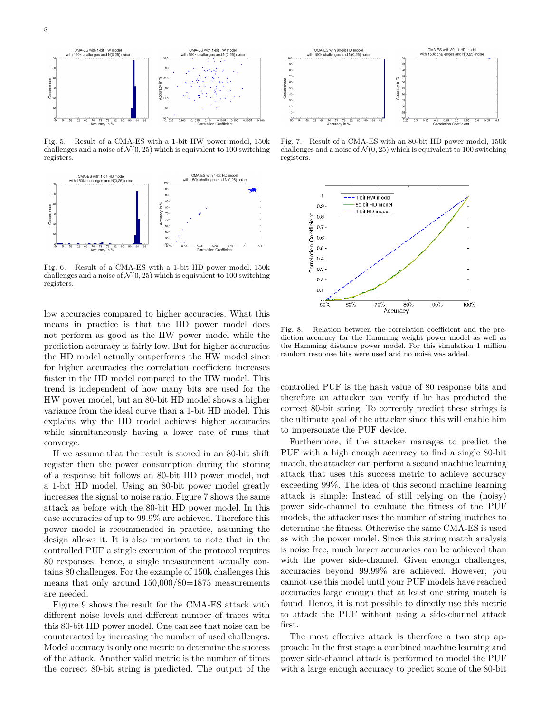

Fig. 5. Result of a CMA-ES with a 1-bit HW power model, 150k challenges and a noise of  $\mathcal{N}(0, 25)$  which is equivalent to 100 switching registers.



Fig. 6. Result of a CMA-ES with a 1-bit HD power model, 150k challenges and a noise of  $\mathcal{N}(0, 25)$  which is equivalent to 100 switching registers.

low accuracies compared to higher accuracies. What this means in practice is that the HD power model does not perform as good as the HW power model while the prediction accuracy is fairly low. But for higher accuracies the HD model actually outperforms the HW model since for higher accuracies the correlation coefficient increases faster in the HD model compared to the HW model. This trend is independent of how many bits are used for the HW power model, but an 80-bit HD model shows a higher variance from the ideal curve than a 1-bit HD model. This explains why the HD model achieves higher accuracies while simultaneously having a lower rate of runs that converge.

If we assume that the result is stored in an 80-bit shift register then the power consumption during the storing of a response bit follows an 80-bit HD power model, not a 1-bit HD model. Using an 80-bit power model greatly increases the signal to noise ratio. Figure 7 shows the same attack as before with the 80-bit HD power model. In this case accuracies of up to 99.9% are achieved. Therefore this power model is recommended in practice, assuming the design allows it. It is also important to note that in the controlled PUF a single execution of the protocol requires 80 responses, hence, a single measurement actually contains 80 challenges. For the example of 150k challenges this means that only around 150,000/80=1875 measurements are needed.

Figure 9 shows the result for the CMA-ES attack with different noise levels and different number of traces with this 80-bit HD power model. One can see that noise can be counteracted by increasing the number of used challenges. Model accuracy is only one metric to determine the success of the attack. Another valid metric is the number of times the correct 80-bit string is predicted. The output of the



Fig. 7. Result of a CMA-ES with an 80-bit HD power model, 150k challenges and a noise of  $\mathcal{N}(0, 25)$  which is equivalent to 100 switching registers.



Fig. 8. Relation between the correlation coefficient and the prediction accuracy for the Hamming weight power model as well as the Hamming distance power model. For this simulation 1 million random response bits were used and no noise was added.

controlled PUF is the hash value of 80 response bits and therefore an attacker can verify if he has predicted the correct 80-bit string. To correctly predict these strings is the ultimate goal of the attacker since this will enable him to impersonate the PUF device.

Furthermore, if the attacker manages to predict the PUF with a high enough accuracy to find a single 80-bit match, the attacker can perform a second machine learning attack that uses this success metric to achieve accuracy exceeding 99%. The idea of this second machine learning attack is simple: Instead of still relying on the (noisy) power side-channel to evaluate the fitness of the PUF models, the attacker uses the number of string matches to determine the fitness. Otherwise the same CMA-ES is used as with the power model. Since this string match analysis is noise free, much larger accuracies can be achieved than with the power side-channel. Given enough challenges, accuracies beyond 99.99% are achieved. However, you cannot use this model until your PUF models have reached accuracies large enough that at least one string match is found. Hence, it is not possible to directly use this metric to attack the PUF without using a side-channel attack first.

The most effective attack is therefore a two step approach: In the first stage a combined machine learning and power side-channel attack is performed to model the PUF with a large enough accuracy to predict some of the 80-bit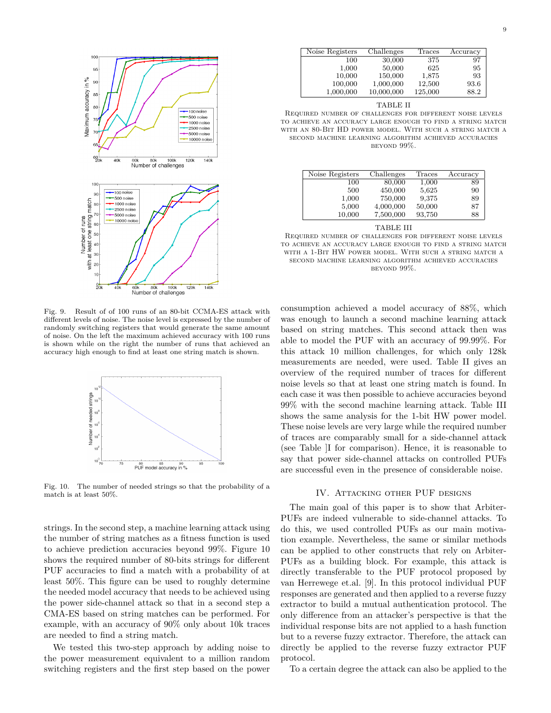

Fig. 9. Result of of 100 runs of an 80-bit CCMA-ES attack with different levels of noise. The noise level is expressed by the number of randomly switching registers that would generate the same amount of noise. On the left the maximum achieved accuracy with 100 runs is shown while on the right the number of runs that achieved an accuracy high enough to find at least one string match is shown.



Fig. 10. The number of needed strings so that the probability of a match is at least 50%.

strings. In the second step, a machine learning attack using the number of string matches as a fitness function is used to achieve prediction accuracies beyond 99%. Figure 10 shows the required number of 80-bits strings for different PUF accuracies to find a match with a probability of at least 50%. This figure can be used to roughly determine the needed model accuracy that needs to be achieved using the power side-channel attack so that in a second step a CMA-ES based on string matches can be performed. For example, with an accuracy of 90% only about 10k traces are needed to find a string match.

We tested this two-step approach by adding noise to the power measurement equivalent to a million random switching registers and the first step based on the power

| Noise Registers | Challenges | Traces  | Accuracy |
|-----------------|------------|---------|----------|
| 100             | 30,000     | 375     | 97       |
| 1,000           | 50,000     | 625     | 95       |
| 10,000          | 150,000    | 1,875   | 93       |
| 100,000         | 1,000,000  | 12,500  | 93.6     |
| 1,000,000       | 10,000,000 | 125,000 | 88.2     |

| TABLE II |  |
|----------|--|
|          |  |

Required number of challenges for different noise levels to achieve an accuracy large enough to find a string match with an 80-Bit HD power model. With such a string match a second machine learning algorithm achieved accuracies beyond 99%.

| Noise Registers | Challenges | Traces | Accuracy |
|-----------------|------------|--------|----------|
| 100             | 80,000     | 1,000  | 89       |
| 500             | 450,000    | 5,625  | 90       |
| 1,000           | 750,000    | 9,375  | 89       |
| 5,000           | 4,000,000  | 50,000 | 87       |
| 10,000          | 7,500,000  | 93,750 | 88       |

| TABLE III |  |  |
|-----------|--|--|
|           |  |  |

Required number of challenges for different noise levels to achieve an accuracy large enough to find a string match with a 1-Bit HW power model. With such a string match a second machine learning algorithm achieved accuracies beyond 99%.

consumption achieved a model accuracy of 88%, which was enough to launch a second machine learning attack based on string matches. This second attack then was able to model the PUF with an accuracy of 99.99%. For this attack 10 million challenges, for which only 128k measurements are needed, were used. Table II gives an overview of the required number of traces for different noise levels so that at least one string match is found. In each case it was then possible to achieve accuracies beyond 99% with the second machine learning attack. Table III shows the same analysis for the 1-bit HW power model. These noise levels are very large while the required number of traces are comparably small for a side-channel attack (see Table ]I for comparison). Hence, it is reasonable to say that power side-channel attacks on controlled PUFs are successful even in the presence of considerable noise.

### IV. Attacking other PUF designs

The main goal of this paper is to show that Arbiter-PUFs are indeed vulnerable to side-channel attacks. To do this, we used controlled PUFs as our main motivation example. Nevertheless, the same or similar methods can be applied to other constructs that rely on Arbiter-PUFs as a building block. For example, this attack is directly transferable to the PUF protocol proposed by van Herrewege et.al. [9]. In this protocol individual PUF responses are generated and then applied to a reverse fuzzy extractor to build a mutual authentication protocol. The only difference from an attacker's perspective is that the individual response bits are not applied to a hash function but to a reverse fuzzy extractor. Therefore, the attack can directly be applied to the reverse fuzzy extractor PUF protocol.

To a certain degree the attack can also be applied to the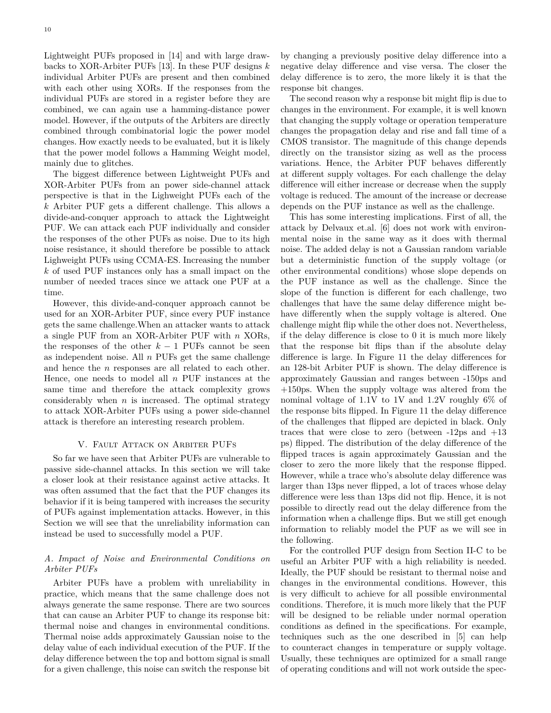Lightweight PUFs proposed in [14] and with large drawbacks to XOR-Arbiter PUFs [13]. In these PUF designs *k* individual Arbiter PUFs are present and then combined with each other using XORs. If the responses from the individual PUFs are stored in a register before they are combined, we can again use a hamming-distance power model. However, if the outputs of the Arbiters are directly combined through combinatorial logic the power model changes. How exactly needs to be evaluated, but it is likely that the power model follows a Hamming Weight model, mainly due to glitches.

The biggest difference between Lightweight PUFs and XOR-Arbiter PUFs from an power side-channel attack perspective is that in the Lighweight PUFs each of the *k* Arbiter PUF gets a different challenge. This allows a divide-and-conquer approach to attack the Lightweight PUF. We can attack each PUF individually and consider the responses of the other PUFs as noise. Due to its high noise resistance, it should therefore be possible to attack Lighweight PUFs using CCMA-ES. Increasing the number *k* of used PUF instances only has a small impact on the number of needed traces since we attack one PUF at a time.

However, this divide-and-conquer approach cannot be used for an XOR-Arbiter PUF, since every PUF instance gets the same challenge.When an attacker wants to attack a single PUF from an XOR-Arbiter PUF with *n* XORs, the responses of the other  $k-1$  PUFs cannot be seen as independent noise. All *n* PUFs get the same challenge and hence the *n* responses are all related to each other. Hence, one needs to model all *n* PUF instances at the same time and therefore the attack complexity grows considerably when  $n$  is increased. The optimal strategy to attack XOR-Arbiter PUFs using a power side-channel attack is therefore an interesting research problem.

## V. Fault Attack on Arbiter PUFs

So far we have seen that Arbiter PUFs are vulnerable to passive side-channel attacks. In this section we will take a closer look at their resistance against active attacks. It was often assumed that the fact that the PUF changes its behavior if it is being tampered with increases the security of PUFs against implementation attacks. However, in this Section we will see that the unreliability information can instead be used to successfully model a PUF.

## *A. Impact of Noise and Environmental Conditions on Arbiter PUFs*

Arbiter PUFs have a problem with unreliability in practice, which means that the same challenge does not always generate the same response. There are two sources that can cause an Arbiter PUF to change its response bit: thermal noise and changes in environmental conditions. Thermal noise adds approximately Gaussian noise to the delay value of each individual execution of the PUF. If the delay difference between the top and bottom signal is small for a given challenge, this noise can switch the response bit by changing a previously positive delay difference into a negative delay difference and vise versa. The closer the delay difference is to zero, the more likely it is that the response bit changes.

The second reason why a response bit might flip is due to changes in the environment. For example, it is well known that changing the supply voltage or operation temperature changes the propagation delay and rise and fall time of a CMOS transistor. The magnitude of this change depends directly on the transistor sizing as well as the process variations. Hence, the Arbiter PUF behaves differently at different supply voltages. For each challenge the delay difference will either increase or decrease when the supply voltage is reduced. The amount of the increase or decrease depends on the PUF instance as well as the challenge.

This has some interesting implications. First of all, the attack by Delvaux et.al. [6] does not work with environmental noise in the same way as it does with thermal noise. The added delay is not a Gaussian random variable but a deterministic function of the supply voltage (or other environmental conditions) whose slope depends on the PUF instance as well as the challenge. Since the slope of the function is different for each challenge, two challenges that have the same delay difference might behave differently when the supply voltage is altered. One challenge might flip while the other does not. Nevertheless, if the delay difference is close to 0 it is much more likely that the response bit flips than if the absolute delay difference is large. In Figure 11 the delay differences for an 128-bit Arbiter PUF is shown. The delay difference is approximately Gaussian and ranges between -150ps and +150ps. When the supply voltage was altered from the nominal voltage of 1.1V to 1V and 1.2V roughly 6% of the response bits flipped. In Figure 11 the delay difference of the challenges that flipped are depicted in black. Only traces that were close to zero (between  $-12\text{ps}$  and  $+13$ ) ps) flipped. The distribution of the delay difference of the flipped traces is again approximately Gaussian and the closer to zero the more likely that the response flipped. However, while a trace who's absolute delay difference was larger than 13ps never flipped, a lot of traces whose delay difference were less than 13ps did not flip. Hence, it is not possible to directly read out the delay difference from the information when a challenge flips. But we still get enough information to reliably model the PUF as we will see in the following.

For the controlled PUF design from Section II-C to be useful an Arbiter PUF with a high reliability is needed. Ideally, the PUF should be resistant to thermal noise and changes in the environmental conditions. However, this is very difficult to achieve for all possible environmental conditions. Therefore, it is much more likely that the PUF will be designed to be reliable under normal operation conditions as defined in the specifications. For example, techniques such as the one described in [5] can help to counteract changes in temperature or supply voltage. Usually, these techniques are optimized for a small range of operating conditions and will not work outside the spec-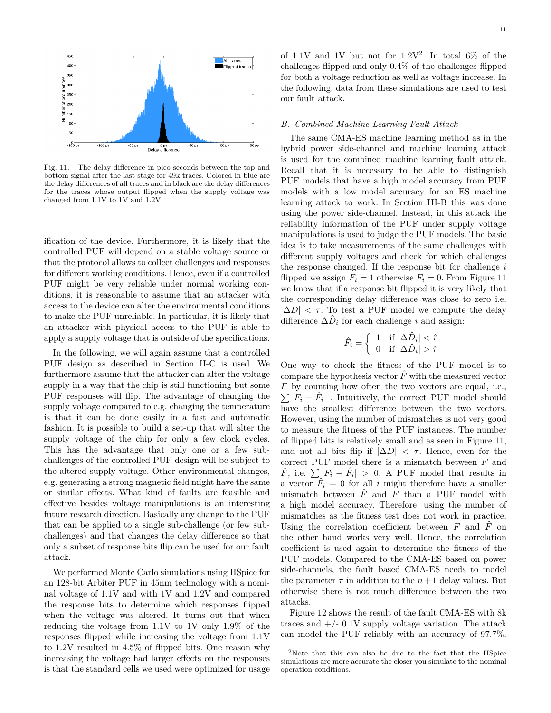

Fig. 11. The delay difference in pico seconds between the top and bottom signal after the last stage for 49k traces. Colored in blue are the delay differences of all traces and in black are the delay differences for the traces whose output flipped when the supply voltage was changed from 1.1V to 1V and 1.2V.

ification of the device. Furthermore, it is likely that the controlled PUF will depend on a stable voltage source or that the protocol allows to collect challenges and responses for different working conditions. Hence, even if a controlled PUF might be very reliable under normal working conditions, it is reasonable to assume that an attacker with access to the device can alter the environmental conditions to make the PUF unreliable. In particular, it is likely that an attacker with physical access to the PUF is able to apply a supply voltage that is outside of the specifications.

In the following, we will again assume that a controlled PUF design as described in Section II-C is used. We furthermore assume that the attacker can alter the voltage supply in a way that the chip is still functioning but some PUF responses will flip. The advantage of changing the supply voltage compared to e.g. changing the temperature is that it can be done easily in a fast and automatic fashion. It is possible to build a set-up that will alter the supply voltage of the chip for only a few clock cycles. This has the advantage that only one or a few subchallenges of the controlled PUF design will be subject to the altered supply voltage. Other environmental changes, e.g. generating a strong magnetic field might have the same or similar effects. What kind of faults are feasible and effective besides voltage manipulations is an interesting future research direction. Basically any change to the PUF that can be applied to a single sub-challenge (or few subchallenges) and that changes the delay difference so that only a subset of response bits flip can be used for our fault attack.

We performed Monte Carlo simulations using HSpice for an 128-bit Arbiter PUF in 45nm technology with a nominal voltage of 1.1V and with 1V and 1.2V and compared the response bits to determine which responses flipped when the voltage was altered. It turns out that when reducing the voltage from 1.1V to 1V only 1.9% of the responses flipped while increasing the voltage from 1.1V to 1.2V resulted in 4.5% of flipped bits. One reason why increasing the voltage had larger effects on the responses is that the standard cells we used were optimized for usage of 1.1V and 1V but not for  $1.2V^2$ . In total 6% of the challenges flipped and only 0.4% of the challenges flipped for both a voltage reduction as well as voltage increase. In the following, data from these simulations are used to test our fault attack.

## *B. Combined Machine Learning Fault Attack*

The same CMA-ES machine learning method as in the hybrid power side-channel and machine learning attack is used for the combined machine learning fault attack. Recall that it is necessary to be able to distinguish PUF models that have a high model accuracy from PUF models with a low model accuracy for an ES machine learning attack to work. In Section III-B this was done using the power side-channel. Instead, in this attack the reliability information of the PUF under supply voltage manipulations is used to judge the PUF models. The basic idea is to take measurements of the same challenges with different supply voltages and check for which challenges the response changed. If the response bit for challenge *i* flipped we assign  $F_i = 1$  otherwise  $F_i = 0$ . From Figure 11 we know that if a response bit flipped it is very likely that the corresponding delay difference was close to zero i.e.  $|\Delta D|$  <  $\tau$ . To test a PUF model we compute the delay difference  $\Delta \hat{D}_i$  for each challenge *i* and assign:

$$
\hat{F}_i = \left\{ \begin{array}{ll} 1 & \text{if } |\Delta \hat{D}_i| < \hat{\tau} \\ 0 & \text{if } |\Delta \hat{D}_i| > \hat{\tau} \end{array} \right.
$$

One way to check the fitness of the PUF model is to compare the hypothesis vector  $\hat{F}$  with the measured vector *F* by counting how often the two vectors are equal, i.e.,  $\sum |\dot{F}_i - \hat{F}_i|$ . Intuitively, the correct PUF model should have the smallest difference between the two vectors. However, using the number of mismatches is not very good to measure the fitness of the PUF instances. The number of flipped bits is relatively small and as seen in Figure 11, and not all bits flip if  $|\Delta D| < \tau$ . Hence, even for the correct PUF model there is a mismatch between *F* and  $\hat{F}$ , i.e.  $\sum |F_i - \hat{F}_i| > 0$ . A PUF model that results in a vector  $\hat{F}_i = 0$  for all *i* might therefore have a smaller mismatch between  $\hat{F}$  and  $F$  than a PUF model with a high model accuracy. Therefore, using the number of mismatches as the fitness test does not work in practice. Using the correlation coefficient between  $F$  and  $\hat{F}$  on the other hand works very well. Hence, the correlation coefficient is used again to determine the fitness of the PUF models. Compared to the CMA-ES based on power side-channels, the fault based CMA-ES needs to model the parameter  $\tau$  in addition to the  $n+1$  delay values. But otherwise there is not much difference between the two attacks.

Figure 12 shows the result of the fault CMA-ES with 8k traces and  $+/- 0.1V$  supply voltage variation. The attack can model the PUF reliably with an accuracy of 97.7%.

<sup>2</sup>Note that this can also be due to the fact that the HSpice simulations are more accurate the closer you simulate to the nominal operation conditions.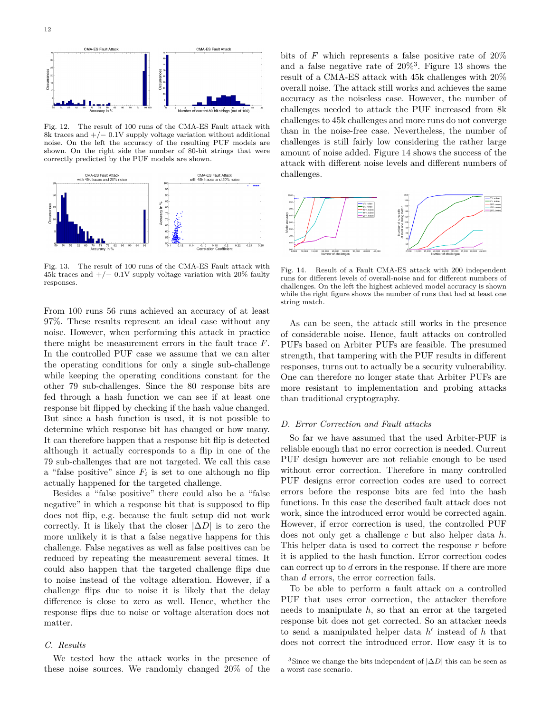

Fig. 12. The result of 100 runs of the CMA-ES Fault attack with 8k traces and +*/*− 0.1V supply voltage variation without additional noise. On the left the accuracy of the resulting PUF models are shown. On the right side the number of 80-bit strings that were correctly predicted by the PUF models are shown.



Fig. 13. The result of 100 runs of the CMA-ES Fault attack with 45k traces and +*/*− 0.1V supply voltage variation with 20% faulty responses.

From 100 runs 56 runs achieved an accuracy of at least 97%. These results represent an ideal case without any noise. However, when performing this attack in practice there might be measurement errors in the fault trace *F*. In the controlled PUF case we assume that we can alter the operating conditions for only a single sub-challenge while keeping the operating conditions constant for the other 79 sub-challenges. Since the 80 response bits are fed through a hash function we can see if at least one response bit flipped by checking if the hash value changed. But since a hash function is used, it is not possible to determine which response bit has changed or how many. It can therefore happen that a response bit flip is detected although it actually corresponds to a flip in one of the 79 sub-challenges that are not targeted. We call this case a "false positive" since  $F_i$  is set to one although no flip actually happened for the targeted challenge.

Besides a "false positive" there could also be a "false negative" in which a response bit that is supposed to flip does not flip, e.g. because the fault setup did not work correctly. It is likely that the closer  $|\Delta D|$  is to zero the more unlikely it is that a false negative happens for this challenge. False negatives as well as false positives can be reduced by repeating the measurement several times. It could also happen that the targeted challenge flips due to noise instead of the voltage alteration. However, if a challenge flips due to noise it is likely that the delay difference is close to zero as well. Hence, whether the response flips due to noise or voltage alteration does not matter.

## *C. Results*

We tested how the attack works in the presence of these noise sources. We randomly changed 20% of the bits of *F* which represents a false positive rate of 20% and a false negative rate of  $20\%$ <sup>3</sup>. Figure 13 shows the result of a CMA-ES attack with 45k challenges with 20% overall noise. The attack still works and achieves the same accuracy as the noiseless case. However, the number of challenges needed to attack the PUF increased from 8k challenges to 45k challenges and more runs do not converge than in the noise-free case. Nevertheless, the number of challenges is still fairly low considering the rather large amount of noise added. Figure 14 shows the success of the attack with different noise levels and different numbers of challenges.



Fig. 14. Result of a Fault CMA-ES attack with 200 independent runs for different levels of overall-noise and for different numbers of challenges. On the left the highest achieved model accuracy is shown while the right figure shows the number of runs that had at least one string match.

As can be seen, the attack still works in the presence of considerable noise. Hence, fault attacks on controlled PUFs based on Arbiter PUFs are feasible. The presumed strength, that tampering with the PUF results in different responses, turns out to actually be a security vulnerability. One can therefore no longer state that Arbiter PUFs are more resistant to implementation and probing attacks than traditional cryptography.

### *D. Error Correction and Fault attacks*

So far we have assumed that the used Arbiter-PUF is reliable enough that no error correction is needed. Current PUF design however are not reliable enough to be used without error correction. Therefore in many controlled PUF designs error correction codes are used to correct errors before the response bits are fed into the hash functions. In this case the described fault attack does not work, since the introduced error would be corrected again. However, if error correction is used, the controlled PUF does not only get a challenge *c* but also helper data *h*. This helper data is used to correct the response *r* before it is applied to the hash function. Error correction codes can correct up to *d* errors in the response. If there are more than *d* errors, the error correction fails.

To be able to perform a fault attack on a controlled PUF that uses error correction, the attacker therefore needs to manipulate *h*, so that an error at the targeted response bit does not get corrected. So an attacker needs to send a manipulated helper data  $h'$  instead of  $h$  that does not correct the introduced error. How easy it is to

<sup>&</sup>lt;sup>3</sup>Since we change the bits independent of  $|\Delta D|$  this can be seen as a worst case scenario.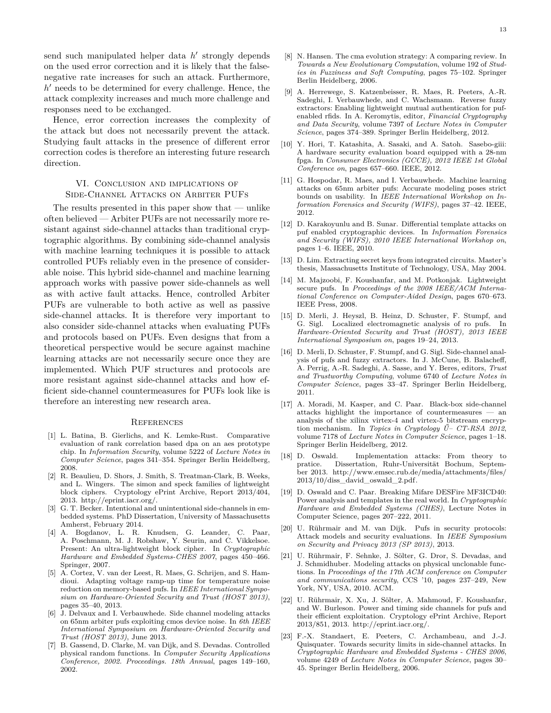send such manipulated helper data *h*<sup>*i*</sup> strongly depends on the used error correction and it is likely that the falsenegative rate increases for such an attack. Furthermore,  $h'$  needs to be determined for every challenge. Hence, the attack complexity increases and much more challenge and responses need to be exchanged.

Hence, error correction increases the complexity of the attack but does not necessarily prevent the attack. Studying fault attacks in the presence of different error correction codes is therefore an interesting future research direction.

## VI. Conclusion and implications of Side-Channel Attacks on Arbiter PUFs

The results presented in this paper show that — unlike often believed — Arbiter PUFs are not necessarily more resistant against side-channel attacks than traditional cryptographic algorithms. By combining side-channel analysis with machine learning techniques it is possible to attack controlled PUFs reliably even in the presence of considerable noise. This hybrid side-channel and machine learning approach works with passive power side-channels as well as with active fault attacks. Hence, controlled Arbiter PUFs are vulnerable to both active as well as passive side-channel attacks. It is therefore very important to also consider side-channel attacks when evaluating PUFs and protocols based on PUFs. Even designs that from a theoretical perspective would be secure against machine learning attacks are not necessarily secure once they are implemented. Which PUF structures and protocols are more resistant against side-channel attacks and how efficient side-channel countermeasures for PUFs look like is therefore an interesting new research area.

#### **REFERENCES**

- [1] L. Batina, B. Gierlichs, and K. Lemke-Rust. Comparative evaluation of rank correlation based dpa on an aes prototype chip. In *Information Security*, volume 5222 of *Lecture Notes in Computer Science*, pages 341–354. Springer Berlin Heidelberg, 2008.
- [2] R. Beaulieu, D. Shors, J. Smith, S. Treatman-Clark, B. Weeks, and L. Wingers. The simon and speck families of lightweight block ciphers. Cryptology ePrint Archive, Report 2013/404, 2013. http://eprint.iacr.org/.
- [3] G. T. Becker. Intentional and unintentional side-channels in embedded systems. PhD Dissertation, University of Massachusetts Amherst, February 2014.
- [4] A. Bogdanov, L. R. Knudsen, G. Leander, C. Paar, A. Poschmann, M. J. Robshaw, Y. Seurin, and C. Vikkelsoe. Present: An ultra-lightweight block cipher. In *Cryptographic Hardware and Embedded Systems-CHES 2007*, pages 450–466. Springer, 2007.
- [5] A. Cortez, V. van der Leest, R. Maes, G. Schrijen, and S. Hamdioui. Adapting voltage ramp-up time for temperature noise reduction on memory-based pufs. In *IEEE International Symposium on Hardware-Oriented Security and Trust (HOST 2013)*, pages 35–40, 2013.
- [6] J. Delvaux and I. Verbauwhede. Side channel modeling attacks on 65nm arbiter pufs exploiting cmos device noise. In *6th IEEE International Symposium on Hardware-Oriented Security and Trust (HOST 2013)*, June 2013.
- [7] B. Gassend, D. Clarke, M. van Dijk, and S. Devadas. Controlled physical random functions. In *Computer Security Applications Conference, 2002. Proceedings. 18th Annual*, pages 149–160, 2002.
- [8] N. Hansen. The cma evolution strategy: A comparing review. In *Towards a New Evolutionary Computation*, volume 192 of *Studies in Fuzziness and Soft Computing*, pages 75–102. Springer Berlin Heidelberg, 2006.
- [9] A. Herrewege, S. Katzenbeisser, R. Maes, R. Peeters, A.-R. Sadeghi, I. Verbauwhede, and C. Wachsmann. Reverse fuzzy extractors: Enabling lightweight mutual authentication for pufenabled rfids. In A. Keromytis, editor, *Financial Cryptography and Data Security*, volume 7397 of *Lecture Notes in Computer Science*, pages 374–389. Springer Berlin Heidelberg, 2012.
- [10] Y. Hori, T. Katashita, A. Sasaki, and A. Satoh. Sasebo-giii: A hardware security evaluation board equipped with a 28-nm fpga. In *Consumer Electronics (GCCE), 2012 IEEE 1st Global Conference on*, pages 657–660. IEEE, 2012.
- [11] G. Hospodar, R. Maes, and I. Verbauwhede. Machine learning attacks on 65nm arbiter pufs: Accurate modeling poses strict bounds on usability. In *IEEE International Workshop on Information Forensics and Security (WIFS)*, pages 37–42. IEEE, 2012.
- [12] D. Karakoyunlu and B. Sunar. Differential template attacks on puf enabled cryptographic devices. In *Information Forensics and Security (WIFS), 2010 IEEE International Workshop on*, pages 1–6. IEEE, 2010.
- [13] D. Lim. Extracting secret keys from integrated circuits. Master's thesis, Massachusetts Institute of Technology, USA, May 2004.
- [14] M. Majzoobi, F. Koushanfar, and M. Potkonjak. Lightweight secure pufs. In *Proceedings of the 2008 IEEE/ACM International Conference on Computer-Aided Design*, pages 670–673. IEEE Press, 2008.
- [15] D. Merli, J. Heyszl, B. Heinz, D. Schuster, F. Stumpf, and G. Sigl. Localized electromagnetic analysis of ro pufs. In *Hardware-Oriented Security and Trust (HOST), 2013 IEEE International Symposium on*, pages 19–24, 2013.
- [16] D. Merli, D. Schuster, F. Stumpf, and G. Sigl. Side-channel analysis of pufs and fuzzy extractors. In J. McCune, B. Balacheff, A. Perrig, A.-R. Sadeghi, A. Sasse, and Y. Beres, editors, *Trust and Trustworthy Computing*, volume 6740 of *Lecture Notes in Computer Science*, pages 33–47. Springer Berlin Heidelberg, 2011.
- [17] A. Moradi, M. Kasper, and C. Paar. Black-box side-channel attacks highlight the importance of countermeasures — an analysis of the xilinx virtex-4 and virtex-5 bitstream encryption mechanism. In *Topics in Cryptology Ű– CT-RSA 2012*, volume 7178 of *Lecture Notes in Computer Science*, pages 1–18. Springer Berlin Heidelberg, 2012.
- [18] D. Oswald. Implementation attacks: From theory to pratice. Dissertation, Ruhr-Universität Bochum, September 2013. http://www.emsec.rub.de/media/attachments/files/ 2013/10/diss\_david\_oswald\_2.pdf.
- [19] D. Oswald and C. Paar. Breaking Mifare DESFire MF3ICD40: Power analysis and templates in the real world. In *Cryptographic Hardware and Embedded Systems (CHES)*, Lecture Notes in Computer Science, pages 207–222, 2011.
- [20] U. Rührmair and M. van Dijk. Pufs in security protocols: Attack models and security evaluations. In *IEEE Symposium on Security and Privacy 2013 (SP 2013)*, 2013.
- [21] U. Rührmair, F. Sehnke, J. Sölter, G. Dror, S. Devadas, and J. Schmidhuber. Modeling attacks on physical unclonable functions. In *Proceedings of the 17th ACM conference on Computer and communications security*, CCS '10, pages 237–249, New York, NY, USA, 2010. ACM.
- [22] U. Rührmair, X. Xu, J. Sölter, A. Mahmoud, F. Koushanfar, and W. Burleson. Power and timing side channels for pufs and their efficient exploitation. Cryptology ePrint Archive, Report 2013/851, 2013. http://eprint.iacr.org/.
- [23] F.-X. Standaert, E. Peeters, C. Archambeau, and J.-J. Quisquater. Towards security limits in side-channel attacks. In *Cryptographic Hardware and Embedded Systems - CHES 2006*, volume 4249 of *Lecture Notes in Computer Science*, pages 30– 45. Springer Berlin Heidelberg, 2006.